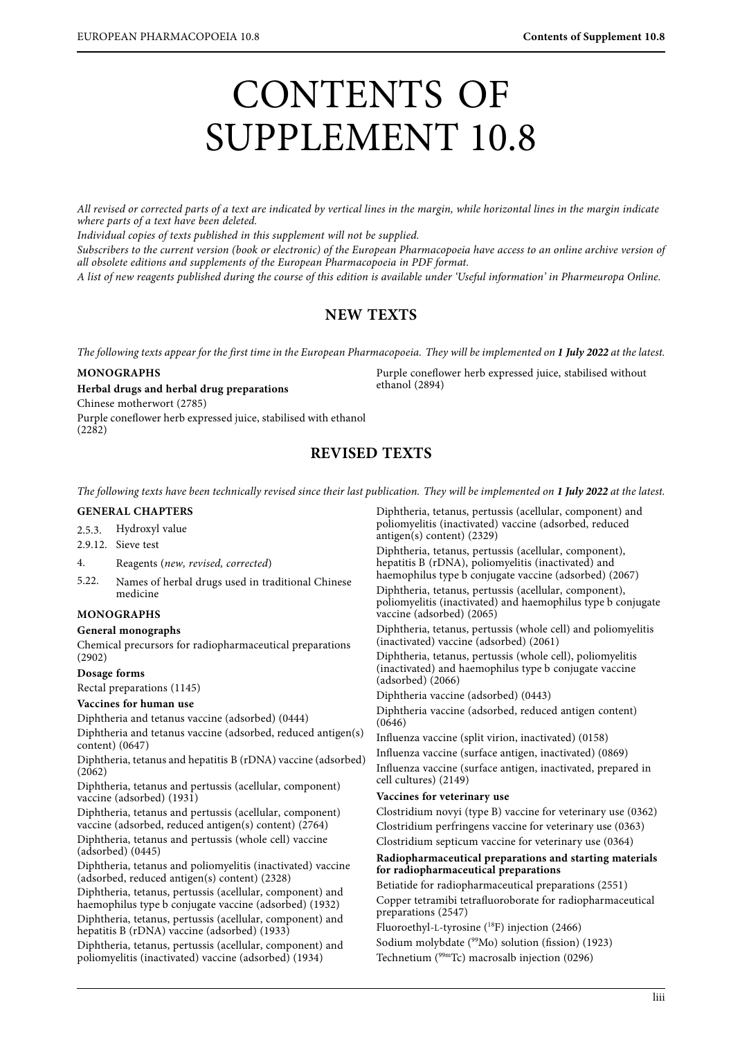# CONTENTS OF SUPPLEMENT 10.8

All revised or corrected parts of a text are indicated by vertical lines in the margin, while horizontal lines in the margin indicate<br>where parts of a text have been deleted.

Individual copies of texts published in this supplement will not be supplied.

Subscribers to the current version (book or electronic) of the European Pharmacopoeia have access to an online archive version of all obsolete editions and supplements of the European Pharmacopoeia in PDF format.

 $\overline{A}$  list of now regress to published during the course of this edition is evoluble under To A list of new reagents published during the course of this edition is available under 'Useful information' in Pharmeuropa Online.

# **NEW TEXTS**

The following texts appear for the first time in the European Pharmacopoeia. They will be implemented on **1 July 2022** at the latest.

ethanol (2894)

## **MONOGRAPHS**

**Herbal drugs and herbal drug preparations**

Chinese motherwort (2785)

Purple coneflower herb expressed juice, stabilised with ethanol (2282)

# **REVISED TEXTS**

The following texts have been technically revised since their last publication. They will be implemented on **1 July 2022** at the latest.

## **GENERAL CHAPTERS**

2.5.3. Hydroxyl value

- 2.9.12. Sieve test
- 4. Reagents (new, revised, corrected)<br>5.22. Names of herbal drugs used in tra
- Names of herbal drugs used in traditional Chinese medicine

## **MONOGRAPHS**

## **General monographs**

Chemical precursors for radiopharmaceutical preparations (2902)

**Dosage forms**

Rectal preparations (1145)

## **Vaccines for human use**

Diphtheria and tetanus vaccine (adsorbed) (0444) Diphtheria and tetanus vaccine (adsorbed, reduced antigen(s) content) (0647)

Diphtheria, tetanus and hepatitis B (rDNA) vaccine (adsorbed) (2062)

Diphtheria, tetanus and pertussis (acellular, component) vaccine (adsorbed) (1931)

Diphtheria, tetanus and pertussis (acellular, component) vaccine (adsorbed, reduced antigen(s) content)  $(2764)$ Diphtheria, tetanus and pertussis (whole cell) vaccine (adsorbed) (0445)

Diphtheria, tetanus and poliomyelitis (inactivated) vaccine (adsorbed, reduced antigen(s) content) (2328)

Diphtheria, tetanus, pertussis (acellular, component) and haemophilus type b conjugate vaccine (adsorbed) (1932)

Diphtheria, tetanus, pertussis (acellular, component) and hepatitis B (rDNA) vaccine (adsorbed) (1933)

Diphtheria, tetanus, pertussis (acellular, component) and poliomyelitis (inactivated) vaccine (adsorbed) (1934)

Diphtheria, tetanus, pertussis (acellular, component) and poliomyelitis (inactivated) vaccine (adsorbed, reduced antigen(s) content) (2329) Diphtheria, tetanus, pertussis (acellular, component), hepatitis B (rDNA), poliomyelitis (inactivated) and haemophilus type b conjugate vaccine (adsorbed) (2067) Diphtheria, tetanus, pertussis (acellular, component), poliomyelitis (inactivated) and haemophilus type b conjugate vaccine (adsorbed) (2065) Diphtheria, tetanus, pertussis (whole cell) and poliomyelitis (inactivated) vaccine (adsorbed) (2061) Diphtheria, tetanus, pertussis (whole cell), poliomyelitis (inactivated) and haemophilus type b conjugate vaccine (adsorbed) (2066) Diphtheria vaccine (adsorbed) (0443) Diphtheria vaccine (adsorbed, reduced antigen content) (0646) Influenza vaccine (split virion, inactivated) (0158) Influenza vaccine (surface antigen, inactivated) (0869) Influenza vaccine (surface antigen, inactivated, prepared in cell cultures) (2149) **Vaccines for veterinary use** Clostridium novyi (type B) vaccine for veterinary use (0362) Clostridium perfringens vaccine for veterinary use (0363) Clostridium septicum vaccine for veterinary use (0364) **Radiopharmaceutical preparations and starting materials for radiopharmaceutical preparations** Betiatide for radiopharmaceutical preparations (2551) Copper tetramibi tetrafluoroborate for radiopharmaceutical preparations (2547) Fluoroethyl-L-tyrosine (18F) injection (2466) Sodium molybdate (99Mo) solution (fission) (1923)

Purple coneflower herb expressed juice, stabilised without

Technetium (99mTc) macrosalb injection (0296)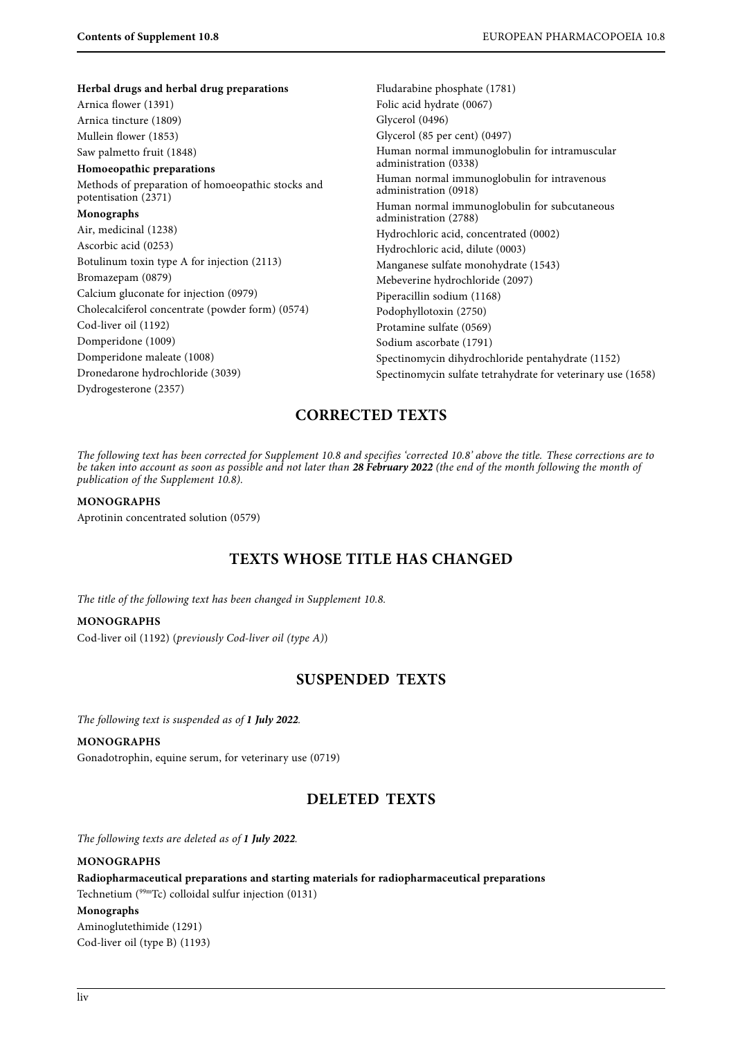**Herbal drugs and herbal drug preparations** Arnica flower (1391) Arnica tincture (1809) Mullein flower (1853) Saw palmetto fruit (1848) **Homoeopathic preparations** Methods of preparation of homoeopathic stocks and potentisation (2371) **Monographs** Air, medicinal (1238) Ascorbic acid (0253) Botulinum toxin type A for injection (2113) Bromazepam (0879) Calcium gluconate for injection (0979) Cholecalciferol concentrate (powder form) (0574) Cod-liver oil (1192) Domperidone (1009) Domperidone maleate (1008)

Fludarabine phosphate (1781) Folic acid hydrate (0067) Glycerol (0496) Glycerol (85 per cent) (0497) Human normal immunoglobulin for intramuscular administration (0338) Human normal immunoglobulin for intravenous administration (0918) Human normal immunoglobulin for subcutaneous administration (2788) Hydrochloric acid, concentrated (0002) Hydrochloric acid, dilute (0003) Manganese sulfate monohydrate (1543) Mebeverine hydrochloride (2097) Piperacillin sodium (1168) Podophyllotoxin (2750) Protamine sulfate (0569) Sodium ascorbate (1791) Spectinomycin dihydrochloride pentahydrate (1152) Spectinomycin sulfate tetrahydrate for veterinary use (1658)

# **CORRECTED TEXTS**

be taken into account as soon as possible and not later than 28 February 2022 (the end of the month following the month of<br>publication of the Supplement 10.8). publication of the Supplement 10.8).

#### **MONOGRAPHS**

Aprotinin concentrated solution (0579)

Dronedarone hydrochloride (3039)

Dydrogesterone (2357)

# **TEXTS WHOSE TITLE HAS CHANGED**

The title of the following text has been changed in Supplement 10.8.

## **MONOGRAPHS**

Cod-liver oil (1192) (previously Cod-liver oil (type A))

## **SUSPENDED TEXTS**

The following text is suspended as of **1 July 2022**.

#### **MONOGRAPHS**

Gonadotrophin, equine serum, for veterinary use (0719)

## **DELETED TEXTS**

The following texts are deleted as of **1 July 2022**.

## **MONOGRAPHS Radiopharmaceutical preparations and starting materials for radiopharmaceutical preparations** Technetium (99mTc) colloidal sulfur injection (0131) **Monographs** Aminoglutethimide (1291) Cod-liver oil (type B) (1193)